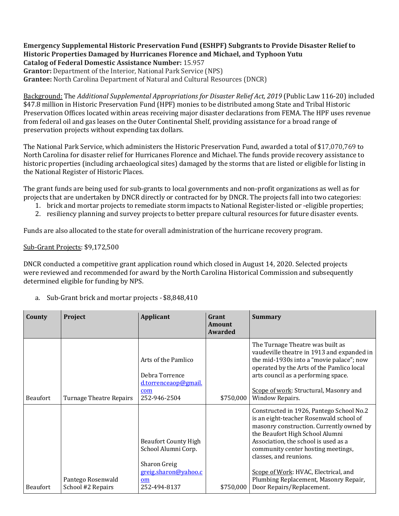**Emergency Supplemental Historic Preservation Fund (ESHPF) Subgrants to Provide Disaster Relief to Historic Properties Damaged by Hurricanes Florence and Michael, and Typhoon Yutu Catalog of Federal Domestic Assistance Number:** 15.957

**Grantor:** Department of the Interior, National Park Service (NPS)

**Grantee:** North Carolina Department of Natural and Cultural Resources (DNCR)

Background: The *Additional Supplemental Appropriations for Disaster Relief Act, 2019* (Public Law 116-20) included \$47.8 million in Historic Preservation Fund (HPF) monies to be distributed among State and Tribal Historic Preservation Offices located within areas receiving major disaster declarations from FEMA. The HPF uses revenue from federal oil and gas leases on the Outer Continental Shelf, providing assistance for a broad range of preservation projects without expending tax dollars.

The National Park Service, which administers the Historic Preservation Fund, awarded a total of \$17,070,769 to North Carolina for disaster relief for Hurricanes Florence and Michael. The funds provide recovery assistance to historic properties (including archaeological sites) damaged by the storms that are listed or eligible for listing in the National Register of Historic Places.

The grant funds are being used for sub-grants to local governments and non-profit organizations as well as for projects that are undertaken by DNCR directly or contracted for by DNCR. The projects fall into two categories:

- 1. brick and mortar projects to remediate storm impacts to National Register-listed or -eligible properties;
- 2. resiliency planning and survey projects to better prepare cultural resources for future disaster events.

Funds are also allocated to the state for overall administration of the hurricane recovery program.

Sub-Grant Projects: \$9,172,500

DNCR conducted a competitive grant application round which closed in August 14, 2020. Selected projects were reviewed and recommended for award by the North Carolina Historical Commission and subsequently determined eligible for funding by NPS.

| County          | Project                                | Applicant                                                                                                               | Grant<br>Amount<br>Awarded | <b>Summary</b>                                                                                                                                                                                                                                                                                                                                                                           |
|-----------------|----------------------------------------|-------------------------------------------------------------------------------------------------------------------------|----------------------------|------------------------------------------------------------------------------------------------------------------------------------------------------------------------------------------------------------------------------------------------------------------------------------------------------------------------------------------------------------------------------------------|
| <b>Beaufort</b> | Turnage Theatre Repairs                | Arts of the Pamlico<br>Debra Torrence<br><u>d.torrenceaop@gmail.</u><br>com<br>252-946-2504                             | \$750,000                  | The Turnage Theatre was built as<br>vaudeville theatre in 1913 and expanded in<br>the mid-1930s into a "movie palace"; now<br>operated by the Arts of the Pamlico local<br>arts council as a performing space.<br>Scope of work: Structural, Masonry and<br>Window Repairs.                                                                                                              |
| <b>Beaufort</b> | Pantego Rosenwald<br>School #2 Repairs | <b>Beaufort County High</b><br>School Alumni Corp.<br><b>Sharon Greig</b><br>greig.sharon@yahoo.c<br>om<br>252-494-8137 | \$750,000                  | Constructed in 1926, Pantego School No.2<br>is an eight-teacher Rosenwald school of<br>masonry construction. Currently owned by<br>the Beaufort High School Alumni<br>Association, the school is used as a<br>community center hosting meetings,<br>classes, and reunions.<br>Scope of Work: HVAC, Electrical, and<br>Plumbing Replacement, Masonry Repair,<br>Door Repairs/Replacement. |

a. Sub-Grant brick and mortar projects - \$8,848,410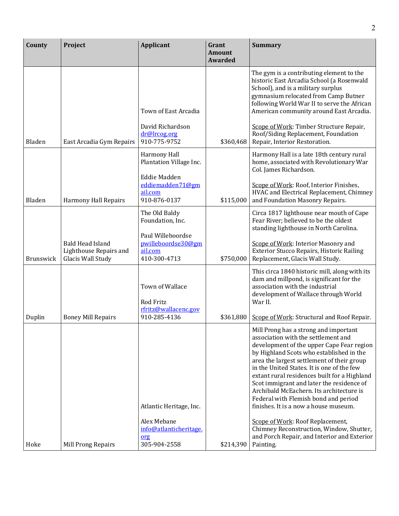| County    | Project                                                                | <b>Applicant</b>                                                   | Grant<br><b>Amount</b><br><b>Awarded</b> | <b>Summary</b>                                                                                                                                                                                                                                                                                                                                                                                                                                                                              |
|-----------|------------------------------------------------------------------------|--------------------------------------------------------------------|------------------------------------------|---------------------------------------------------------------------------------------------------------------------------------------------------------------------------------------------------------------------------------------------------------------------------------------------------------------------------------------------------------------------------------------------------------------------------------------------------------------------------------------------|
|           |                                                                        |                                                                    |                                          | The gym is a contributing element to the<br>historic East Arcadia School (a Rosenwald<br>School), and is a military surplus<br>gymnasium relocated from Camp Butner<br>following World War II to serve the African                                                                                                                                                                                                                                                                          |
|           |                                                                        | Town of East Arcadia                                               |                                          | American community around East Arcadia.                                                                                                                                                                                                                                                                                                                                                                                                                                                     |
| Bladen    | East Arcadia Gym Repairs                                               | David Richardson<br>dr@lrcog.org<br>910-775-9752                   | \$360,468                                | Scope of Work: Timber Structure Repair,<br>Roof/Siding Replacement, Foundation<br>Repair, Interior Restoration.                                                                                                                                                                                                                                                                                                                                                                             |
|           |                                                                        | Harmony Hall<br>Plantation Village Inc.                            |                                          | Harmony Hall is a late 18th century rural<br>home, associated with Revolutionary War<br>Col. James Richardson.                                                                                                                                                                                                                                                                                                                                                                              |
| Bladen    | <b>Harmony Hall Repairs</b>                                            | <b>Eddie Madden</b><br>eddiemadden71@gm<br>ail.com<br>910-876-0137 | \$115,000                                | Scope of Work: Roof, Interior Finishes,<br>HVAC and Electrical Replacement, Chimney<br>and Foundation Masonry Repairs.                                                                                                                                                                                                                                                                                                                                                                      |
|           |                                                                        | The Old Baldy<br>Foundation, Inc.                                  |                                          | Circa 1817 lighthouse near mouth of Cape<br>Fear River; believed to be the oldest<br>standing lighthouse in North Carolina.                                                                                                                                                                                                                                                                                                                                                                 |
| Brunswick | <b>Bald Head Island</b><br>Lighthouse Repairs and<br>Glacis Wall Study | Paul Willeboordse<br>pwilleboordse30@gm<br>ail.com<br>410-300-4713 | \$750,000                                | Scope of Work: Interior Masonry and<br>Exterior Stucco Repairs, Historic Railing<br>Replacement, Glacis Wall Study.                                                                                                                                                                                                                                                                                                                                                                         |
|           |                                                                        | Town of Wallace<br>Rod Fritz                                       |                                          | This circa 1840 historic mill, along with its<br>dam and millpond, is significant for the<br>association with the industrial<br>development of Wallace through World<br>War II.                                                                                                                                                                                                                                                                                                             |
| Duplin    | <b>Boney Mill Repairs</b>                                              | rfritz@wallacenc.gov<br>910-285-4136                               | \$361,880                                | Scope of Work: Structural and Roof Repair.                                                                                                                                                                                                                                                                                                                                                                                                                                                  |
|           |                                                                        | Atlantic Heritage, Inc.                                            |                                          | Mill Prong has a strong and important<br>association with the settlement and<br>development of the upper Cape Fear region<br>by Highland Scots who established in the<br>area the largest settlement of their group<br>in the United States. It is one of the few<br>extant rural residences built for a Highland<br>Scot immigrant and later the residence of<br>Archibald McEachern. Its architecture is<br>Federal with Flemish bond and period<br>finishes. It is a now a house museum. |
| Hoke      | Mill Prong Repairs                                                     | Alex Mebane<br>info@atlanticheritage.<br>org<br>305-904-2558       | \$214,390                                | Scope of Work: Roof Replacement,<br>Chimney Reconstruction, Window, Shutter,<br>and Porch Repair, and Interior and Exterior<br>Painting.                                                                                                                                                                                                                                                                                                                                                    |

2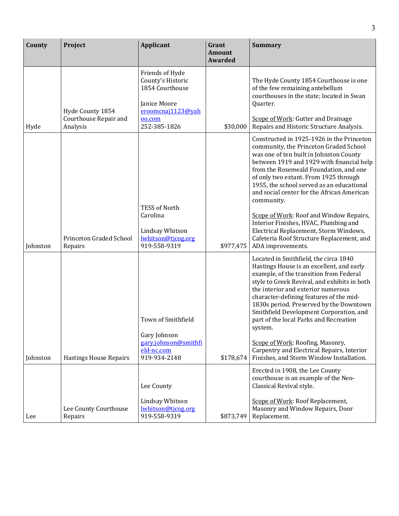| County   | Project                                               | <b>Applicant</b>                                                                                                       | Grant<br><b>Amount</b><br><b>Awarded</b> | <b>Summary</b>                                                                                                                                                                                                                                                                                                                                                                                                                                                                                                                                                          |
|----------|-------------------------------------------------------|------------------------------------------------------------------------------------------------------------------------|------------------------------------------|-------------------------------------------------------------------------------------------------------------------------------------------------------------------------------------------------------------------------------------------------------------------------------------------------------------------------------------------------------------------------------------------------------------------------------------------------------------------------------------------------------------------------------------------------------------------------|
| Hyde     | Hyde County 1854<br>Courthouse Repair and<br>Analysis | Friends of Hyde<br>County's Historic<br>1854 Courthouse<br>Janice Moore<br>eroomcnaj1123@yah<br>oo.com<br>252-385-1826 | \$30,000                                 | The Hyde County 1854 Courthouse is one<br>of the few remaining antebellum<br>courthouses in the state; located in Swan<br>Quarter.<br>Scope of Work: Gutter and Drainage<br>Repairs and Historic Structure Analysis.                                                                                                                                                                                                                                                                                                                                                    |
| Johnston | Princeton Graded School<br>Repairs                    | <b>TESS of North</b><br>Carolina<br>Lindsay Whitson<br>lwhitson@tjcog.org<br>919-558-9319                              | \$977,475                                | Constructed in 1925-1926 in the Princeton<br>community, the Princeton Graded School<br>was one of ten built in Johnston County<br>between 1919 and 1929 with financial help<br>from the Rosenwald Foundation, and one<br>of only two extant. From 1925 through<br>1955, the school served as an educational<br>and social center for the African American<br>community.<br>Scope of Work: Roof and Window Repairs,<br>Interior Finishes, HVAC, Plumbing and<br>Electrical Replacement, Storm Windows,<br>Cafeteria Roof Structure Replacement, and<br>ADA improvements. |
| Johnston | <b>Hastings House Repairs</b>                         | Town of Smithfield<br>Gary Johnson<br>gary.johnson@smithfi<br>eld-nc.com<br>919-934-2148                               | \$178,674                                | Located in Smithfield, the circa 1840<br>Hastings House is an excellent, and early<br>example, of the transition from Federal<br>style to Greek Revival, and exhibits in both<br>the interior and exterior numerous<br>character-defining features of the mid-<br>1830s period. Preserved by the Downtown<br>Smithfield Development Corporation, and<br>part of the local Parks and Recreation<br>system.<br>Scope of Work: Roofing, Masonry,<br>Carpentry and Electrical Repairs, Interior<br>Finishes, and Storm Window Installation.                                 |
| Lee      | Lee County Courthouse<br>Repairs                      | Lee County<br>Lindsay Whitson<br>lwhitson@tjcog.org<br>919-558-9319                                                    | \$873,749                                | Erected in 1908, the Lee County<br>courthouse is an example of the Neo-<br>Classical Revival style.<br>Scope of Work: Roof Replacement,<br>Masonry and Window Repairs, Door<br>Replacement.                                                                                                                                                                                                                                                                                                                                                                             |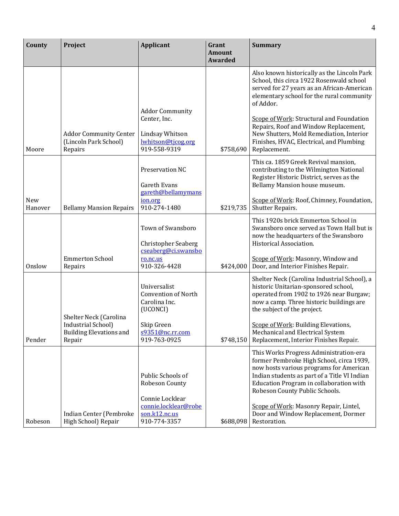| County         | Project                                                                                  | <b>Applicant</b>                                                                                                         | Grant<br><b>Amount</b><br><b>Awarded</b> | <b>Summary</b>                                                                                                                                                                                                                                                                                                                                                                               |
|----------------|------------------------------------------------------------------------------------------|--------------------------------------------------------------------------------------------------------------------------|------------------------------------------|----------------------------------------------------------------------------------------------------------------------------------------------------------------------------------------------------------------------------------------------------------------------------------------------------------------------------------------------------------------------------------------------|
| Moore          | <b>Addor Community Center</b><br>(Lincoln Park School)<br>Repairs                        | <b>Addor Community</b><br>Center, Inc.<br>Lindsay Whitson<br>lwhitson@tjcog.org<br>919-558-9319                          | \$758,690                                | Also known historically as the Lincoln Park<br>School, this circa 1922 Rosenwald school<br>served for 27 years as an African-American<br>elementary school for the rural community<br>of Addor.<br>Scope of Work: Structural and Foundation<br>Repairs, Roof and Window Replacement,<br>New Shutters, Mold Remediation, Interior<br>Finishes, HVAC, Electrical, and Plumbing<br>Replacement. |
| New<br>Hanover | <b>Bellamy Mansion Repairs</b>                                                           | Preservation NC<br><b>Gareth Evans</b><br>gareth@bellamymans<br>ion.org<br>910-274-1480                                  | \$219,735                                | This ca. 1859 Greek Revival mansion,<br>contributing to the Wilmington National<br>Register Historic District, serves as the<br>Bellamy Mansion house museum.<br>Scope of Work: Roof, Chimney, Foundation,<br>Shutter Repairs.                                                                                                                                                               |
| Onslow         | <b>Emmerton School</b><br>Repairs                                                        | Town of Swansboro<br><b>Christopher Seaberg</b><br>cseaberg@ci.swansbo<br>ro.nc.us<br>910-326-4428                       | \$424,000                                | This 1920s brick Emmerton School in<br>Swansboro once served as Town Hall but is<br>now the headquarters of the Swansboro<br>Historical Association.<br>Scope of Work: Masonry, Window and<br>Door, and Interior Finishes Repair.                                                                                                                                                            |
| Pender         | Shelter Neck (Carolina<br>Industrial School)<br><b>Building Elevations and</b><br>Repair | Universalist<br><b>Convention of North</b><br>Carolina Inc.<br>(UCONCI)<br>Skip Green<br>s9351@nc.rr.com<br>919-763-0925 | \$748,150                                | Shelter Neck (Carolina Industrial School), a<br>historic Unitarian-sponsored school,<br>operated from 1902 to 1926 near Burgaw;<br>now a camp. Three historic buildings are<br>the subject of the project.<br>Scope of Work: Building Elevations,<br>Mechanical and Electrical System<br>Replacement, Interior Finishes Repair.                                                              |
| Robeson        | Indian Center (Pembroke<br>High School) Repair                                           | Public Schools of<br>Robeson County<br>Connie Locklear<br>connie.locklear@robe<br>son.k12.nc.us<br>910-774-3357          | \$688,098                                | This Works Progress Administration-era<br>former Pembroke High School, circa 1939,<br>now hosts various programs for American<br>Indian students as part of a Title VI Indian<br>Education Program in collaboration with<br>Robeson County Public Schools.<br>Scope of Work: Masonry Repair, Lintel,<br>Door and Window Replacement, Dormer<br>Restoration.                                  |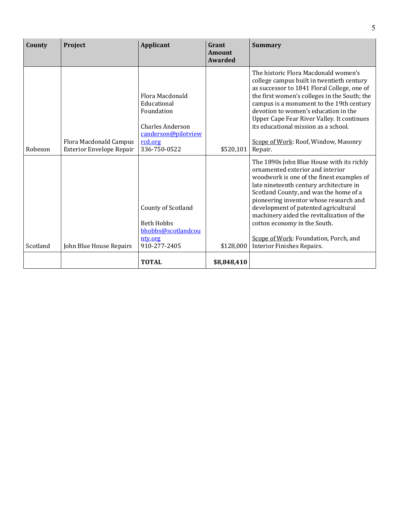| County   | Project                                            | Applicant                                                                                                                 | Grant<br>Amount<br>Awarded | <b>Summary</b>                                                                                                                                                                                                                                                                                                                                                                                                                                        |
|----------|----------------------------------------------------|---------------------------------------------------------------------------------------------------------------------------|----------------------------|-------------------------------------------------------------------------------------------------------------------------------------------------------------------------------------------------------------------------------------------------------------------------------------------------------------------------------------------------------------------------------------------------------------------------------------------------------|
| Robeson  | Flora Macdonald Campus<br>Exterior Envelope Repair | Flora Macdonald<br>Educational<br>Foundation<br><b>Charles Anderson</b><br>canderson@pilotview<br>rcd.org<br>336-750-0522 | \$520,101                  | The historic Flora Macdonald women's<br>college campus built in twentieth century<br>as successor to 1841 Floral College, one of<br>the first women's colleges in the South; the<br>campus is a monument to the 19th century<br>devotion to women's education in the<br>Upper Cape Fear River Valley. It continues<br>its educational mission as a school.<br>Scope of Work: Roof, Window, Masonry<br>Repair.                                         |
| Scotland | John Blue House Repairs                            | County of Scotland<br><b>Beth Hobbs</b><br>bhobbs@scotlandcou<br>nty.org<br>910-277-2405                                  | \$128,000                  | The 1890s John Blue House with its richly<br>ornamented exterior and interior<br>woodwork is one of the finest examples of<br>late nineteenth century architecture in<br>Scotland County, and was the home of a<br>pioneering inventor whose research and<br>development of patented agricultural<br>machinery aided the revitalization of the<br>cotton economy in the South.<br>Scope of Work: Foundation, Porch, and<br>Interior Finishes Repairs. |
|          |                                                    | <b>TOTAL</b>                                                                                                              | \$8,848,410                |                                                                                                                                                                                                                                                                                                                                                                                                                                                       |

5